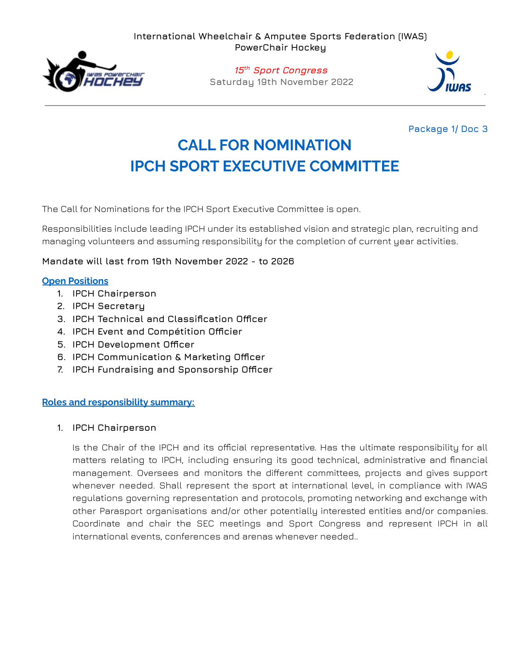**International Wheelchair & Amputee Sports Federation (IWAS) PowerChair Hockey**



**15 th Sport Congress Saturday 19th November 2022**



## **Package 1/ Doc 3**

# **CALL FOR NOMINATION IPCH SPORT EXECUTIVE COMMITTEE**

The Call for Nominations for the IPCH Sport Executive Committee is open.

Responsibilities include leading IPCH under its established vision and strategic plan, recruiting and managing volunteers and assuming responsibility for the completion of current year activities.

### **Mandate will last from 19th November 2022 - to 2026**

### **Open Positions**

- **1. IPCH Chairperson**
- **2. IPCH Secretary**
- **3. IPCH Technical and Classification Officer**
- **4. IPCH Event and Compétition Officier**
- **5. IPCH Development Officer**
- **6. IPCH Communication & Marketing Officer**
- **7. IPCH Fundraising and Sponsorship Officer**

### **Roles and responsibility summary:**

### **1. IPCH Chairperson**

Is the Chair of the IPCH and its official representative. Has the ultimate responsibility for all matters relating to IPCH, including ensuring its good technical, administrative and financial management. Oversees and monitors the different committees, projects and gives support whenever needed. Shall represent the sport at international level, in compliance with IWAS regulations governing representation and protocols, promoting networking and exchange with other Parasport organisations and/or other potentially interested entities and/or companies. Coordinate and chair the SEC meetings and Sport Congress and represent IPCH in all international events, conferences and arenas whenever needed..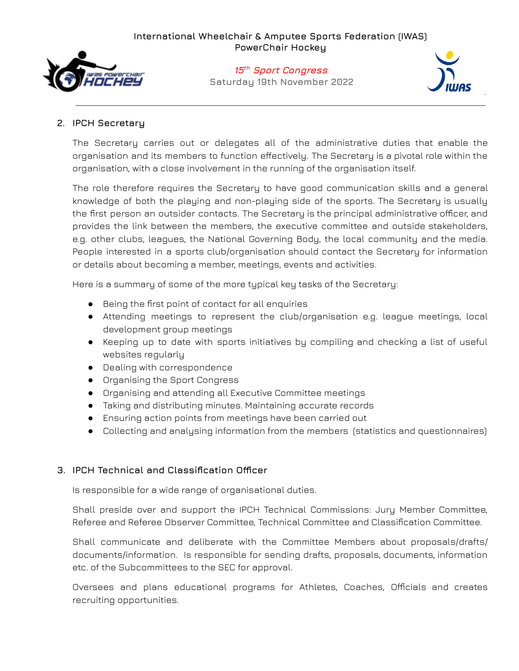

## **15 th Sport Congress Saturday 19th November 2022**



## **2. IPCH Secretary**

The Secretary carries out or delegates all of the administrative duties that enable the organisation and its members to function effectively. The Secretary is a pivotal role within the organisation, with a close involvement in the running of the organisation itself.

The role therefore requires the Secretary to have good communication skills and a general knowledge of both the playing and non-playing side of the sports. The Secretary is usually the first person an outsider contacts. The Secretary is the principal administrative officer, and provides the link between the members, the executive committee and outside stakeholders, e.g. other clubs, leagues, the National Governing Body, the local community and the media. People interested in a sports club/organisation should contact the Secretary for information or details about becoming a member, meetings, events and activities.

Here is a summary of some of the more typical key tasks of the Secretary:

- Being the first point of contact for all enquiries
- Attending meetings to represent the club/organisation e.g. league meetings, local development group meetings
- Keeping up to date with sports initiatives by compiling and checking a list of useful websites regularly
- Dealing with correspondence
- Organising the Sport Congress
- Organising and attending all Executive Committee meetings
- Taking and distributing minutes. Maintaining accurate records
- Ensuring action points from meetings have been carried out
- Collecting and analysing information from the members (statistics and questionnaires)

## **3. IPCH Technical and Classification Officer**

Is responsible for a wide range of organisational duties.

Shall preside over and support the IPCH Technical Commissions: Jury Member Committee, Referee and Referee Observer Committee, Technical Committee and Classification Committee.

Shall communicate and deliberate with the Committee Members about proposals/drafts/ documents/information. Is responsible for sending drafts, proposals, documents, information etc. of the Subcommittees to the SEC for approval.

Oversees and plans educational programs for Athletes, Coaches, Officials and creates recruiting opportunities.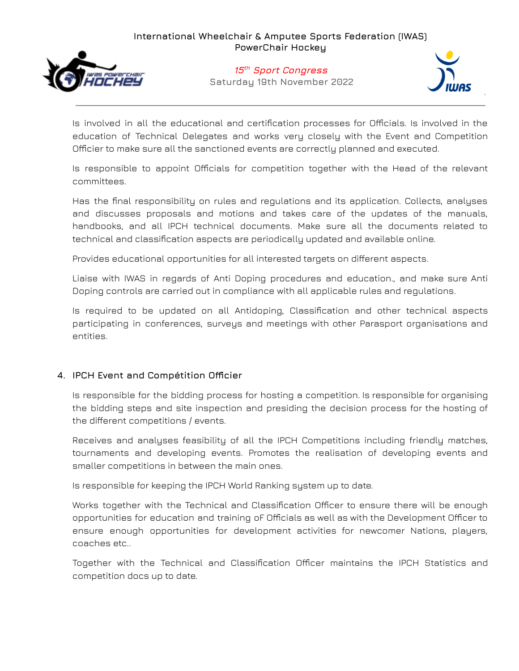

## **15 th Sport Congress Saturday 19th November 2022**



Is involved in all the educational and certification processes for Officials. Is involved in the education of Technical Delegates and works very closely with the Event and Competition Officier to make sure all the sanctioned events are correctly planned and executed.

Is responsible to appoint Officials for competition together with the Head of the relevant committees.

Has the final responsibility on rules and regulations and its application. Collects, analyses and discusses proposals and motions and takes care of the updates of the manuals, handbooks, and all IPCH technical documents. Make sure all the documents related to technical and classification aspects are periodically updated and available online.

Provides educational opportunities for all interested targets on different aspects.

Liaise with IWAS in regards of Anti Doping procedures and education., and make sure Anti Doping controls are carried out in compliance with all applicable rules and regulations.

Is required to be updated on all Antidoping, Classification and other technical aspects participating in conferences, surveys and meetings with other Parasport organisations and entities.

## **4. IPCH Event and Compétition Officier**

Is responsible for the bidding process for hosting a competition. Is responsible for organising the bidding steps and site inspection and presiding the decision process for the hosting of the different competitions / events.

Receives and analyses feasibility of all the IPCH Competitions including friendly matches, tournaments and developing events. Promotes the realisation of developing events and smaller competitions in between the main ones.

Is responsible for keeping the IPCH World Ranking system up to date.

Works together with the Technical and Classification Officer to ensure there will be enough opportunities for education and training oF Officials as well as with the Development Officer to ensure enough opportunities for development activities for newcomer Nations, players, coaches etc..

Together with the Technical and Classification Officer maintains the IPCH Statistics and competition docs up to date.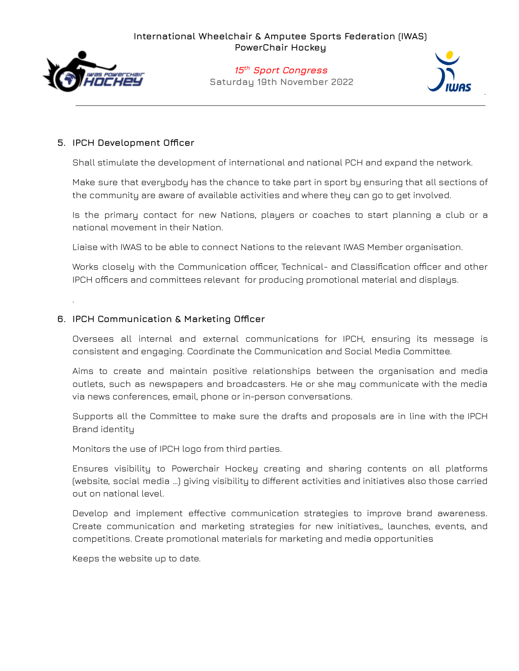

.

## **15 th Sport Congress Saturday 19th November 2022**



## **5. IPCH Development Officer**

Shall stimulate the development of international and national PCH and expand the network.

Make sure that everybody has the chance to take part in sport by ensuring that all sections of the community are aware of available activities and where they can go to get involved.

Is the primary contact for new Nations, players or coaches to start planning a club or a national movement in their Nation.

Liaise with IWAS to be able to connect Nations to the relevant IWAS Member organisation.

Works closely with the Communication officer, Technical- and Classification officer and other IPCH officers and committees relevant for producing promotional material and displays.

### **6. IPCH Communication & Marketing Officer**

Oversees all internal and external communications for IPCH, ensuring its message is consistent and engaging. Coordinate the Communication and Social Media Committee.

Aims to create and maintain positive relationships between the organisation and media outlets, such as newspapers and broadcasters. He or she may communicate with the media via news conferences, email, phone or in-person conversations.

Supports all the Committee to make sure the drafts and proposals are in line with the IPCH Brand identity

Monitors the use of IPCH logo from third parties.

Ensures visibility to Powerchair Hockey creating and sharing contents on all platforms (website, social media …) giving visibility to different activities and initiatives also those carried out on national level.

Develop and implement effective communication strategies to improve brand awareness. Create communication and marketing strategies for new initiatives,, launches, events, and competitions. Create promotional materials for marketing and media opportunities

Keeps the website up to date.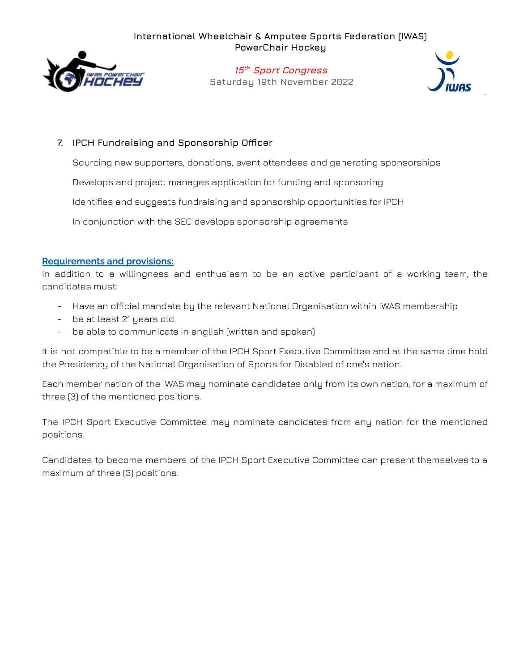

**15 th Sport Congress Saturday 19th November 2022**



## **7. IPCH Fundraising and Sponsorship Officer**

Sourcing new supporters, donations, event attendees and generating sponsorships

Develops and project manages application for funding and sponsoring

Identifies and suggests fundraising and sponsorship opportunities for IPCH

In conjunction with the SEC develops sponsorship agreements

## **Requirements and provisions:**

In addition to a willingness and enthusiasm to be an active participant of a working team, the candidates must:

- Have an official mandate by the relevant National Organisation within IWAS membership
- be at least 21 years old.
- be able to communicate in english (written and spoken)

It is not compatible to be a member of the IPCH Sport Executive Committee and at the same time hold the Presidency of the National Organisation of Sports for Disabled of one's nation.

Each member nation of the IWAS may nominate candidates only from its own nation, for a maximum of three (3) of the mentioned positions.

The IPCH Sport Executive Committee may nominate candidates from any nation for the mentioned positions.

Candidates to become members of the IPCH Sport Executive Committee can present themselves to a maximum of three (3) positions.